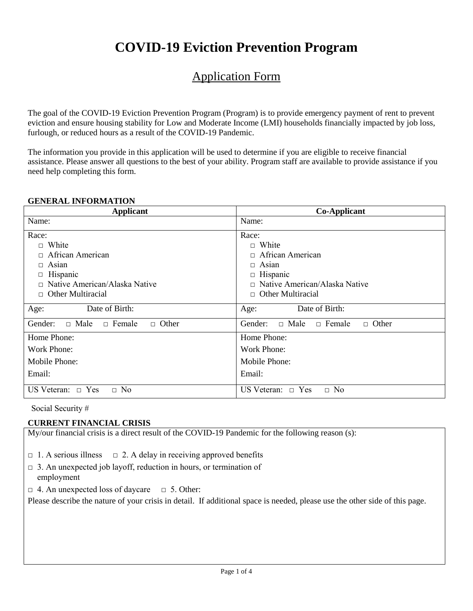# **COVID-19 Eviction Prevention Program**

# Application Form

The goal of the COVID-19 Eviction Prevention Program (Program) is to provide emergency payment of rent to prevent eviction and ensure housing stability for Low and Moderate Income (LMI) households financially impacted by job loss, furlough, or reduced hours as a result of the COVID-19 Pandemic.

The information you provide in this application will be used to determine if you are eligible to receive financial assistance. Please answer all questions to the best of your ability. Program staff are available to provide assistance if you need help completing this form.

#### **GENERAL INFORMATION**

| <b>Applicant</b>                                                                                                                       | <b>Co-Applicant</b>                                                                                                                                |  |
|----------------------------------------------------------------------------------------------------------------------------------------|----------------------------------------------------------------------------------------------------------------------------------------------------|--|
| Name:                                                                                                                                  | Name:                                                                                                                                              |  |
| Race:<br>$\Box$ White<br>□ African American<br>$\Box$ Asian<br>□ Hispanic<br>Native American/Alaska Native<br>$\Box$ Other Multiracial | Race:<br>$\Box$ White<br>□ African American<br>$\Box$ Asian<br>$\Box$ Hispanic<br>$\Box$ Native American/Alaska Native<br>$\Box$ Other Multiracial |  |
| Date of Birth:<br>Age:                                                                                                                 | Date of Birth:<br>Age:                                                                                                                             |  |
| $\Box$ Male<br>$\Box$ Female<br>Gender:<br>$\Box$ Other                                                                                | $\Box$ Female<br>$\Box$ Male<br>Gender:<br>$\Box$ Other                                                                                            |  |
| Home Phone:                                                                                                                            | Home Phone:                                                                                                                                        |  |
| Work Phone:                                                                                                                            | <b>Work Phone:</b>                                                                                                                                 |  |
| Mobile Phone:                                                                                                                          | Mobile Phone:                                                                                                                                      |  |
| Email:                                                                                                                                 | Email:                                                                                                                                             |  |
| US Veteran: $\Box$ Yes<br>$\Box$ No                                                                                                    | <b>US Veteran:</b><br>$\Box$ Yes<br>$\Box$ No                                                                                                      |  |

Social Security #

#### **CURRENT FINANCIAL CRISIS**

My/our financial crisis is a direct result of the COVID-19 Pandemic for the following reason (s):

- $\Box$  1. A serious illness  $\Box$  2. A delay in receiving approved benefits
- $\Box$  3. An unexpected job layoff, reduction in hours, or termination of employment
- $\Box$  4. An unexpected loss of daycare  $\Box$  5. Other:

Please describe the nature of your crisis in detail. If additional space is needed, please use the other side of this page.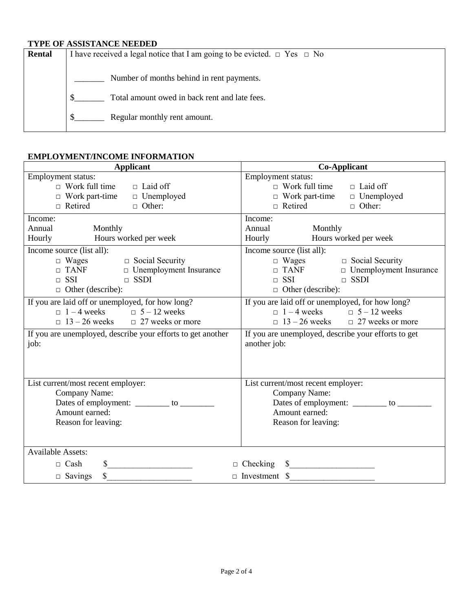## **TYPE OF ASSISTANCE NEEDED**

| Rental | I have received a legal notice that I am going to be evicted. $\Box$ Yes $\Box$ No |  |  |  |
|--------|------------------------------------------------------------------------------------|--|--|--|
|        | Number of months behind in rent payments.                                          |  |  |  |
|        | Total amount owed in back rent and late fees.                                      |  |  |  |
|        | Regular monthly rent amount.                                                       |  |  |  |

## **EMPLOYMENT/INCOME INFORMATION**

| <b>Applicant</b>                                                                                                                                                                                                                       | <b>Co-Applicant</b>                                                                                                                                                                                                                                    |  |
|----------------------------------------------------------------------------------------------------------------------------------------------------------------------------------------------------------------------------------------|--------------------------------------------------------------------------------------------------------------------------------------------------------------------------------------------------------------------------------------------------------|--|
| <b>Employment status:</b><br>$\Box$ Work full time $\Box$ Laid off<br>$\hfill \Box$ Work part-time $\hfill \Box$ Unemployed<br>$\Box$ Retired<br>$\Box$ Other:                                                                         | <b>Employment status:</b><br>$\Box$ Work full time<br>$\Box$ Laid off<br>$\Box$ Work part-time<br>$\Box$ Unemployed<br>$\Box$ Retired<br>$\Box$ Other:                                                                                                 |  |
| Income:<br>Annual<br>Monthly<br>Hourly Hours worked per week                                                                                                                                                                           | Income:<br>Annual<br>Monthly<br>Hours worked per week<br>Hourly                                                                                                                                                                                        |  |
| Income source (list all):<br>$\begin{array}{ll}\n\Box \text{ Wages} & \Box \text{ Social Security} \\ \Box \text{ TANF} & \Box \text{ Unemployedment Insurance}\n\end{array}$<br>$\Box$ SSI<br>$\Box$ SSDI<br>$\Box$ Other (describe): | Income source (list all):<br>$\begin{array}{ll}\n\Box \text{ Wages} & \Box \text{ Social Security} \\ \Box \text{ TANF} & \Box \text{ Unemplogment}\n\end{array}$<br>□ Unemployment Insurance<br>$\Box$ SSDI<br>$\Box$ SSI<br>$\Box$ Other (describe): |  |
| If you are laid off or unemployed, for how long?<br>$-1-4$ weeks $-5-12$ weeks<br>$\Box$ 13 – 26 weeks $\Box$ 27 weeks or more                                                                                                         | If you are laid off or unemployed, for how long?<br>$-1-4$ weeks $-5-12$ weeks<br>$\Box$ 13 – 26 weeks $\Box$ 27 weeks or more                                                                                                                         |  |
| If you are unemployed, describe your efforts to get another<br>job:                                                                                                                                                                    | If you are unemployed, describe your efforts to get<br>another job:                                                                                                                                                                                    |  |
| List current/most recent employer:<br>Company Name:<br>Dates of employment: ________ to __________<br>Amount earned:<br>Reason for leaving:                                                                                            | List current/most recent employer:<br>Company Name:<br>Dates of employment: _________ to __________<br>Amount earned:<br>Reason for leaving:                                                                                                           |  |
| <b>Available Assets:</b><br>$\Box$ Cash<br>$\frac{\text{S}}{\text{S}}$<br>$\sim$<br>$\Box$ Savings                                                                                                                                     | $\Box$ Checking $\quad \quad \text{S}$<br>$\Box$ Investment \$                                                                                                                                                                                         |  |
|                                                                                                                                                                                                                                        |                                                                                                                                                                                                                                                        |  |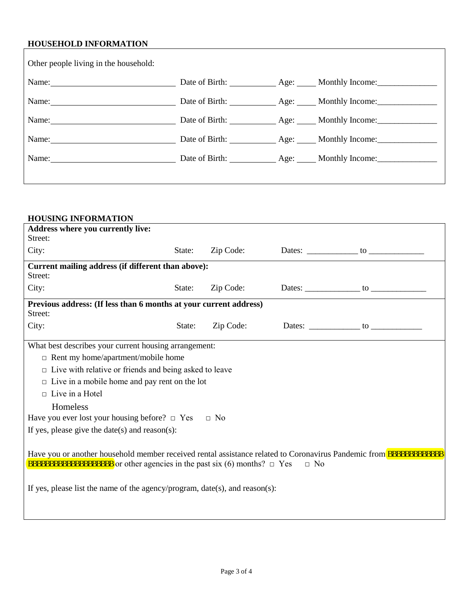# **HOUSEHOLD INFORMATION**

| Other people living in the household:                                      |  |                                                                                   |
|----------------------------------------------------------------------------|--|-----------------------------------------------------------------------------------|
| Name: $\frac{1}{\sqrt{1-\frac{1}{2}}\left(\frac{1}{2}-\frac{1}{2}\right)}$ |  | Date of Birth: _____________ Age: ______ Monthly Income: ________________________ |
| Name: Date of Birth: Age: Monthly Income:                                  |  |                                                                                   |
| Name: Date of Birth: Age: Monthly Income:                                  |  |                                                                                   |
| Name:                                                                      |  | Date of Birth: ______________ Age: ______ Monthly Income: ______________________  |
| Name: Date of Birth: Age: Monthly Income:                                  |  |                                                                                   |
|                                                                            |  |                                                                                   |

| <b>HOUSING INFORMATION</b>                                                                                     |        |           |  |                                           |
|----------------------------------------------------------------------------------------------------------------|--------|-----------|--|-------------------------------------------|
| <b>Address where you currently live:</b>                                                                       |        |           |  |                                           |
| Street:                                                                                                        |        |           |  |                                           |
| City:                                                                                                          | State: | Zip Code: |  | Dates: $\qquad \qquad$ to $\qquad \qquad$ |
| Current mailing address (if different than above):                                                             |        |           |  |                                           |
| Street:                                                                                                        |        |           |  |                                           |
| City:                                                                                                          | State: | Zip Code: |  | Dates: $\qquad \qquad$ to $\qquad \qquad$ |
| Previous address: (If less than 6 months at your current address)                                              |        |           |  |                                           |
| Street:                                                                                                        |        |           |  |                                           |
| City:                                                                                                          | State: | Zip Code: |  | Dates: $\qquad \qquad \text{to}$          |
| What best describes your current housing arrangement:                                                          |        |           |  |                                           |
| $\Box$ Rent my home/apartment/mobile home                                                                      |        |           |  |                                           |
| $\Box$ Live with relative or friends and being asked to leave                                                  |        |           |  |                                           |
| $\Box$ Live in a mobile home and pay rent on the lot                                                           |        |           |  |                                           |
| $\Box$ Live in a Hotel                                                                                         |        |           |  |                                           |
| Homeless                                                                                                       |        |           |  |                                           |
| Have you ever lost your housing before? $\Box$ Yes                                                             |        | $\Box$ No |  |                                           |
| If yes, please give the date(s) and reason(s):                                                                 |        |           |  |                                           |
|                                                                                                                |        |           |  |                                           |
| Have you or another household member received rental assistance related to Coronavirus Pandemic from analyzina |        |           |  |                                           |
| aaaaaaaaaaaaaaaaaaaaaa or other agencies in the past six (6) months? $\Box$ Yes<br>$\Box$ No                   |        |           |  |                                           |
|                                                                                                                |        |           |  |                                           |
| If yes, please list the name of the agency/program, $date(s)$ , and $reason(s)$ :                              |        |           |  |                                           |
|                                                                                                                |        |           |  |                                           |
|                                                                                                                |        |           |  |                                           |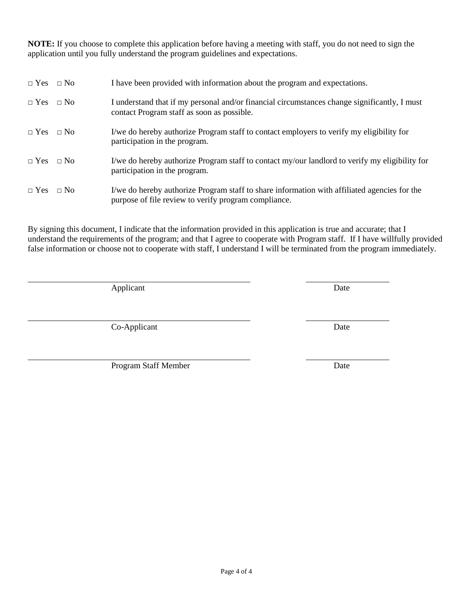Page 4 of 4

**NOTE:** If you choose to complete this application before having a meeting with staff, you do not need to sign the application until you fully understand the program guidelines and expectations.

| $\Box$ Yes $\Box$ No | I have been provided with information about the program and expectations.                                                                            |
|----------------------|------------------------------------------------------------------------------------------------------------------------------------------------------|
| $\neg$ Yes $\neg$ No | I understand that if my personal and/or financial circumstances change significantly, I must<br>contact Program staff as soon as possible.           |
| $\Box$ Yes $\Box$ No | I/we do hereby authorize Program staff to contact employers to verify my eligibility for<br>participation in the program.                            |
| $\neg$ Yes $\neg$ No | I/we do hereby authorize Program staff to contact my/our landlord to verify my eligibility for<br>participation in the program.                      |
| $\neg$ Yes $\neg$ No | I/we do hereby authorize Program staff to share information with affiliated agencies for the<br>purpose of file review to verify program compliance. |

By signing this document, I indicate that the information provided in this application is true and accurate; that I understand the requirements of the program; and that I agree to cooperate with Program staff. If I have willfully provided false information or choose not to cooperate with staff, I understand I will be terminated from the program immediately.

Applicant Date

Co-Applicant Date

Program Staff Member Date